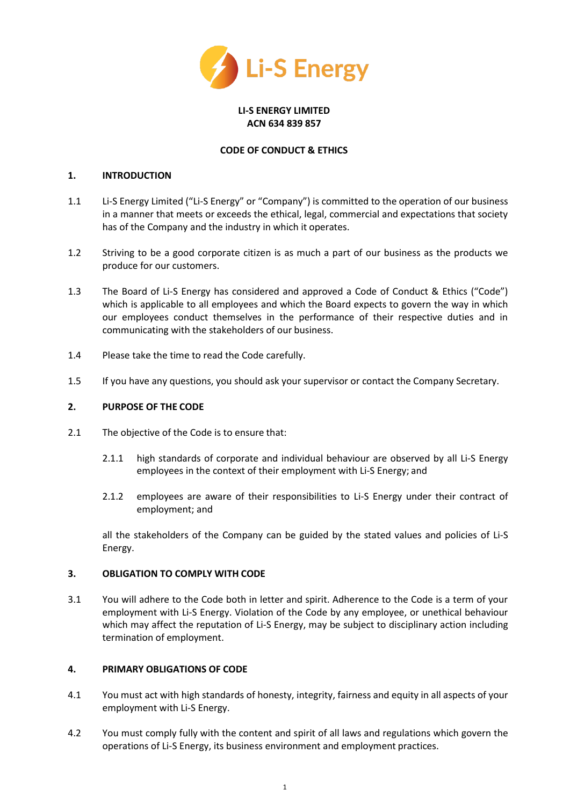

### **LI-S ENERGY LIMITED ACN 634 839 857**

### **CODE OF CONDUCT & ETHICS**

#### **1. INTRODUCTION**

- 1.1 Li-S Energy Limited ("Li-S Energy" or "Company") is committed to the operation of our business in a manner that meets or exceeds the ethical, legal, commercial and expectations that society has of the Company and the industry in which it operates.
- 1.2 Striving to be a good corporate citizen is as much a part of our business as the products we produce for our customers.
- 1.3 The Board of Li-S Energy has considered and approved a Code of Conduct & Ethics ("Code") which is applicable to all employees and which the Board expects to govern the way in which our employees conduct themselves in the performance of their respective duties and in communicating with the stakeholders of our business.
- 1.4 Please take the time to read the Code carefully.
- 1.5 If you have any questions, you should ask your supervisor or contact the Company Secretary.

#### **2. PURPOSE OF THE CODE**

- 2.1 The objective of the Code is to ensure that:
	- 2.1.1 high standards of corporate and individual behaviour are observed by all Li-S Energy employees in the context of their employment with Li-S Energy; and
	- 2.1.2 employees are aware of their responsibilities to Li-S Energy under their contract of employment; and

all the stakeholders of the Company can be guided by the stated values and policies of Li-S Energy.

#### **3. OBLIGATION TO COMPLY WITH CODE**

3.1 You will adhere to the Code both in letter and spirit. Adherence to the Code is a term of your employment with Li-S Energy. Violation of the Code by any employee, or unethical behaviour which may affect the reputation of Li-S Energy, may be subject to disciplinary action including termination of employment.

### **4. PRIMARY OBLIGATIONS OF CODE**

- 4.1 You must act with high standards of honesty, integrity, fairness and equity in all aspects of your employment with Li-S Energy.
- 4.2 You must comply fully with the content and spirit of all laws and regulations which govern the operations of Li-S Energy, its business environment and employment practices.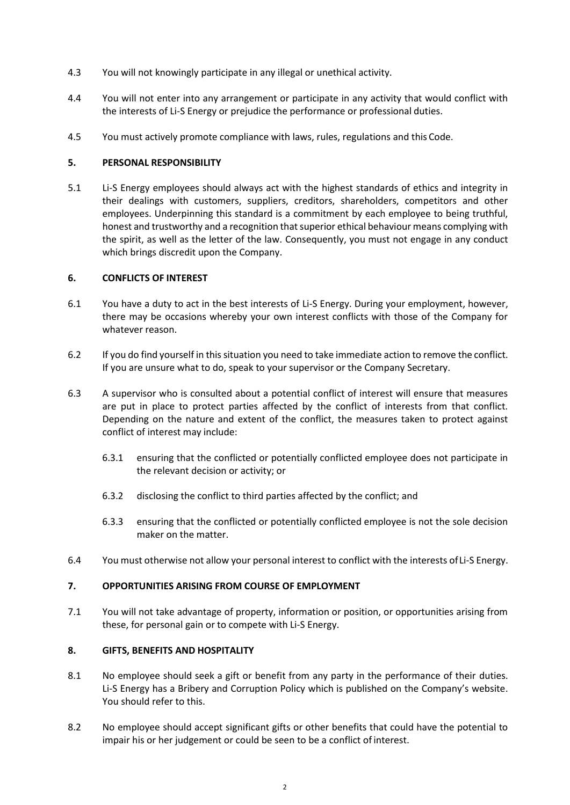- 4.3 You will not knowingly participate in any illegal or unethical activity.
- 4.4 You will not enter into any arrangement or participate in any activity that would conflict with the interests of Li-S Energy or prejudice the performance or professional duties.
- 4.5 You must actively promote compliance with laws, rules, regulations and this Code.

## **5. PERSONAL RESPONSIBILITY**

5.1 Li-S Energy employees should always act with the highest standards of ethics and integrity in their dealings with customers, suppliers, creditors, shareholders, competitors and other employees. Underpinning this standard is a commitment by each employee to being truthful, honest and trustworthy and a recognition that superior ethical behaviour means complying with the spirit, as well as the letter of the law. Consequently, you must not engage in any conduct which brings discredit upon the Company.

### **6. CONFLICTS OF INTEREST**

- 6.1 You have a duty to act in the best interests of Li-S Energy. During your employment, however, there may be occasions whereby your own interest conflicts with those of the Company for whatever reason.
- 6.2 If you do find yourself in this situation you need to take immediate action to remove the conflict. If you are unsure what to do, speak to your supervisor or the Company Secretary.
- 6.3 A supervisor who is consulted about a potential conflict of interest will ensure that measures are put in place to protect parties affected by the conflict of interests from that conflict. Depending on the nature and extent of the conflict, the measures taken to protect against conflict of interest may include:
	- 6.3.1 ensuring that the conflicted or potentially conflicted employee does not participate in the relevant decision or activity; or
	- 6.3.2 disclosing the conflict to third parties affected by the conflict; and
	- 6.3.3 ensuring that the conflicted or potentially conflicted employee is not the sole decision maker on the matter.
- 6.4 You must otherwise not allow your personal interest to conflict with the interests ofLi-S Energy.

### **7. OPPORTUNITIES ARISING FROM COURSE OF EMPLOYMENT**

7.1 You will not take advantage of property, information or position, or opportunities arising from these, for personal gain or to compete with Li-S Energy.

# **8. GIFTS, BENEFITS AND HOSPITALITY**

- 8.1 No employee should seek a gift or benefit from any party in the performance of their duties. Li-S Energy has a Bribery and Corruption Policy which is published on the Company's website. You should refer to this.
- 8.2 No employee should accept significant gifts or other benefits that could have the potential to impair his or her judgement or could be seen to be a conflict ofinterest.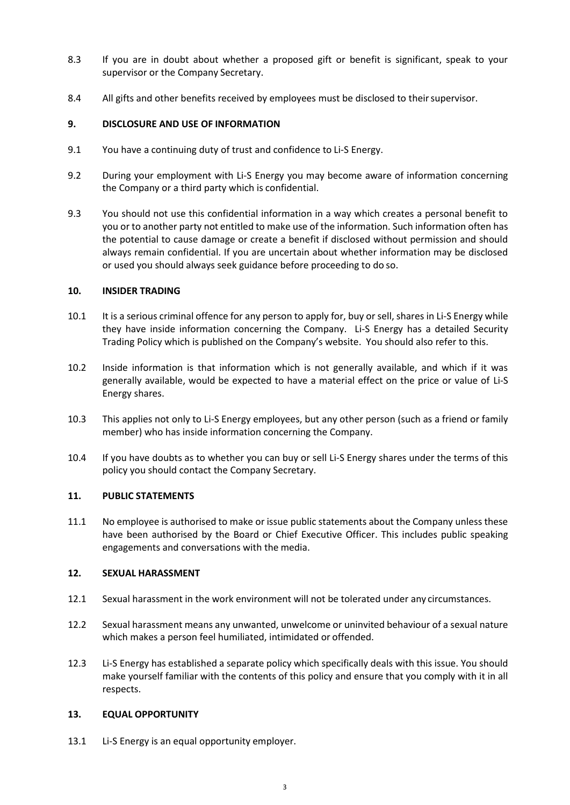- 8.3 If you are in doubt about whether a proposed gift or benefit is significant, speak to your supervisor or the Company Secretary.
- 8.4 All gifts and other benefits received by employees must be disclosed to their supervisor.

## **9. DISCLOSURE AND USE OF INFORMATION**

- 9.1 You have a continuing duty of trust and confidence to Li-S Energy.
- 9.2 During your employment with Li-S Energy you may become aware of information concerning the Company or a third party which is confidential.
- 9.3 You should not use this confidential information in a way which creates a personal benefit to you or to another party not entitled to make use of the information. Such information often has the potential to cause damage or create a benefit if disclosed without permission and should always remain confidential. If you are uncertain about whether information may be disclosed or used you should always seek guidance before proceeding to do so.

### **10. INSIDER TRADING**

- 10.1 It is a serious criminal offence for any person to apply for, buy or sell, shares in Li-S Energy while they have inside information concerning the Company. Li-S Energy has a detailed Security Trading Policy which is published on the Company's website. You should also refer to this.
- 10.2 Inside information is that information which is not generally available, and which if it was generally available, would be expected to have a material effect on the price or value of Li-S Energy shares.
- 10.3 This applies not only to Li-S Energy employees, but any other person (such as a friend or family member) who has inside information concerning the Company.
- 10.4 If you have doubts as to whether you can buy or sell Li-S Energy shares under the terms of this policy you should contact the Company Secretary.

### **11. PUBLIC STATEMENTS**

11.1 No employee is authorised to make or issue public statements about the Company unless these have been authorised by the Board or Chief Executive Officer. This includes public speaking engagements and conversations with the media.

## **12. SEXUAL HARASSMENT**

- 12.1 Sexual harassment in the work environment will not be tolerated under any circumstances.
- 12.2 Sexual harassment means any unwanted, unwelcome or uninvited behaviour of a sexual nature which makes a person feel humiliated, intimidated or offended.
- 12.3 Li-S Energy has established a separate policy which specifically deals with this issue. You should make yourself familiar with the contents of this policy and ensure that you comply with it in all respects.

### **13. EQUAL OPPORTUNITY**

13.1 Li-S Energy is an equal opportunity employer.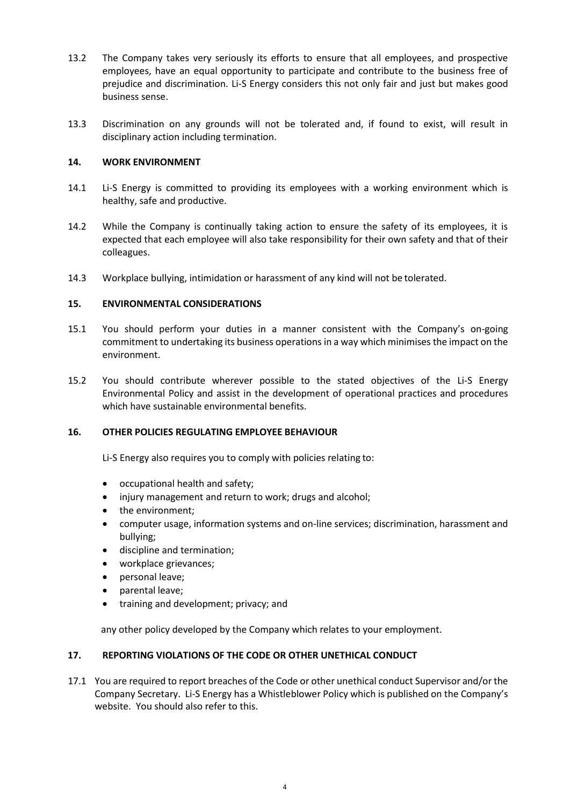- 13.2 The Company takes very seriously its efforts to ensure that all employees, and prospective employees, have an equal opportunity to participate and contribute to the business free of prejudice and discrimination. Li-S Energy considers this not only fair and just but makes good business sense.
- 13.3 Discrimination on any grounds will not be tolerated and, if found to exist, will result in disciplinary action including termination.

## **14. WORK ENVIRONMENT**

- 14.1 Li-S Energy is committed to providing its employees with a working environment which is healthy, safe and productive.
- 14.2 While the Company is continually taking action to ensure the safety of its employees, it is expected that each employee will also take responsibility for their own safety and that of their colleagues.
- 14.3 Workplace bullying, intimidation or harassment of any kind will not be tolerated.

## **15. ENVIRONMENTAL CONSIDERATIONS**

- 15.1 You should perform your duties in a manner consistent with the Company's on-going commitment to undertaking its business operations in a way which minimises the impact on the environment.
- 15.2 You should contribute wherever possible to the stated objectives of the Li-S Energy Environmental Policy and assist in the development of operational practices and procedures which have sustainable environmental benefits.

### **16. OTHER POLICIES REGULATING EMPLOYEE BEHAVIOUR**

Li-S Energy also requires you to comply with policies relating to:

- occupational health and safety;
- injury management and return to work; drugs and alcohol;
- the environment;
- computer usage, information systems and on-line services; discrimination, harassment and bullying;
- discipline and termination;
- workplace grievances;
- personal leave;
- parental leave;
- training and development; privacy; and

any other policy developed by the Company which relates to your employment.

### **17. REPORTING VIOLATIONS OF THE CODE OR OTHER UNETHICAL CONDUCT**

17.1 You are required to report breaches of the Code or other unethical conduct Supervisor and/or the Company Secretary. Li-S Energy has a Whistleblower Policy which is published on the Company's website. You should also refer to this.